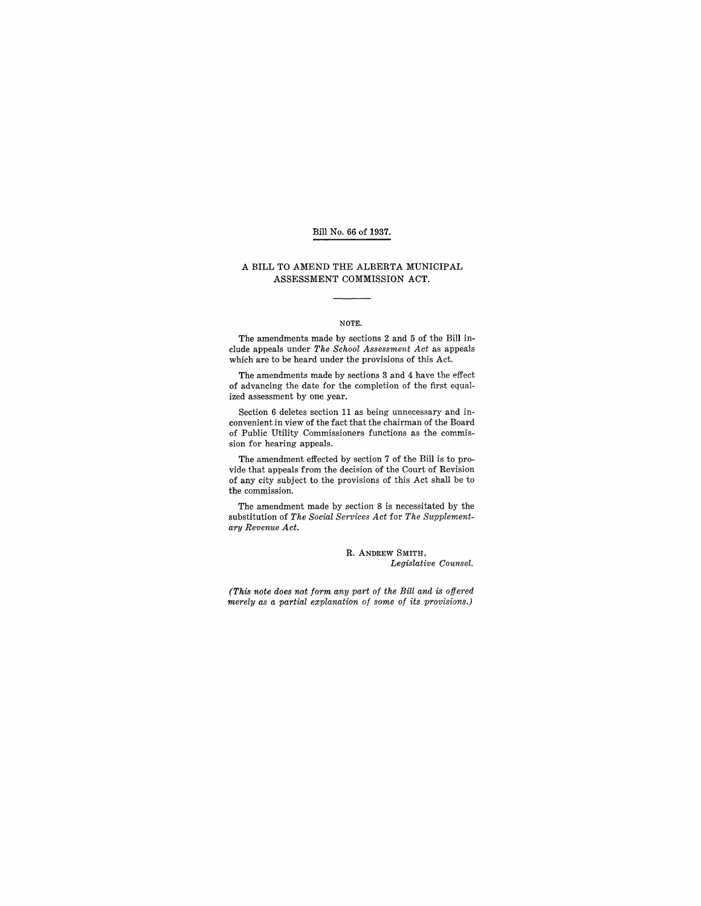## Bill No. 66 of 1937.

## A BILL TO AMEND THE ALBERTA MUNICIPAL ASSESSMENT COMMISSION ACT.

#### NOTE.

The amendments made by sections 2 and 5 of the Bill include appeals under *The School Assessment Act* as appeals which are to be heard under the provisions of this Act.

The amendments made by sections 3 and 4 have the effect of advancing the date for the completion of the first equalized assessment by one year.

Section 6 deletes section 11 as being unnecessary and inconvenient in view of the fact that the chairman of the Board of Public Utility Commissioners functions as the commission for hearing appeals.

The amendment effected by section 7 of the Bill is to provide that appeals from the decision of the Court of Revision of any city subject to the provisions of this Act shall be to the commission.

The amendment made by section 8 is necessitated by the substitution of *The Social Services Act* for *The Supplementary Revenue Act.* 

> R. ANDREW SMITH, *Legislative Counsel.*

*(This note does not form any part of the Bill and is offered merely as a partial explanation of some of its provisions.)*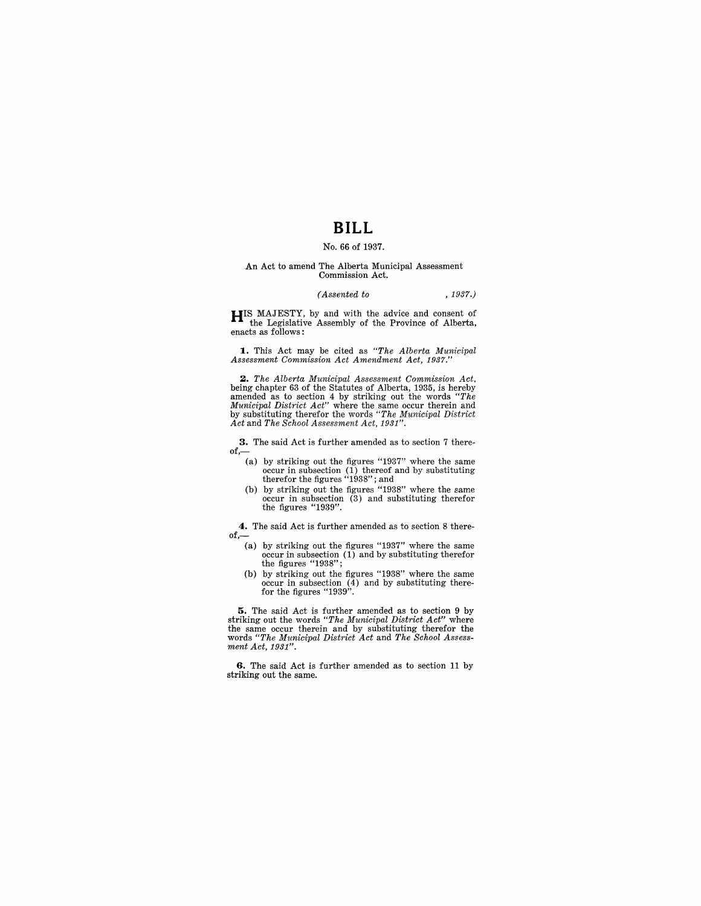# **BILL**

## No. 66 of 1937.

#### An Act to amend The Alberta Municipal Assessment Commission Act.

### *(Assented to* , 1937.)

**HIS MAJESTY, by and with the advice and consent of** the Legislative Assembly of the Province of Alberta, enacts as follows:

**1.** This Act may be cited as *"The Alberta Municipal Assessment Commission Act Amendment Act, 1937."* 

**2.** The Alberta Municipal Assessment Commission Act, being chapter 63 of the Statutes of Alberta, 1935, is hereby amended as to section 4 by striking out the words "The Municipal District Act" where the same occur therei *Act* and *The School Assessment Act, 1931".* 

**3.** The said Act is further amended as to section 7 there-

- of,— $\left($ a) by striking out the figures "1937" where the same (a) by striking out the figures "1937" where the same occur in subsection (1) thereof and by substituting therefor the figures "1938" ; and
	- (b) by striking out the figures "1938" where the same occur in subsection (3) and substituting therefor the figures "1939".

**4.** The said Act is further amended as to section 8 there $of,-$ 

- (a) by striking out the figures "1937" where the same occur in subsection (1) and by substituting therefor  $\frac{1}{100}$ . the figures "1938";<br>(b) by striking out the figures "1938" where the same
- (b) by striking out the figures "1938" where the same occur in subsection (4) and by substituting there-for the figures "1939".

**5.** The said Act is further amended as to section 9 by striking out the words *"The Municipal District Act"* where the same occur therein and by substituting therefor the words *"The Municipal District Act* and *The School Assessment Act, 1931".* 

**6.** The said Act is further amended as to section 11 by striking out the same.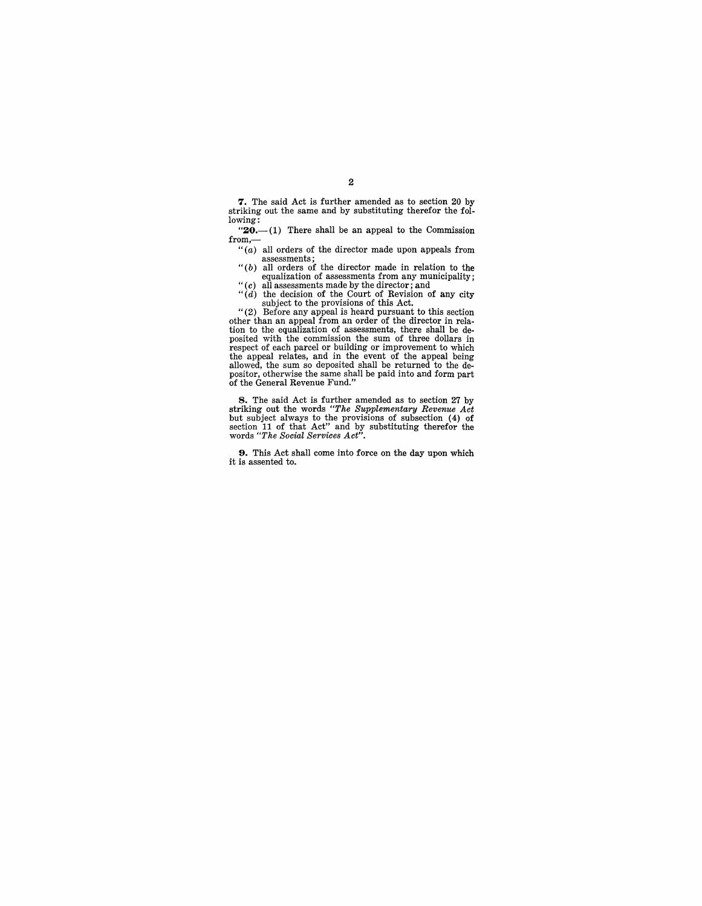7. The said Act is further amended as to section 20 by striking out the same and by substituting therefor the following:

" $20$ .-(1) There shall be an appeal to the Commission from,-

" $(a)$  all orders of the director made upon appeals from

assessments;<br>
"(b) all orders of the director made in relation to the<br>
equalization of assessments from any municipality;<br>
"(c) all assessments made by the director; and<br>
"(d) the decision of the Court of Revision of any

subject to the provisions of this Act. "(2) Before any appeal is heard pursuant to this section other than an appeal from an order of the director in rela-tion to the equalization of assessments, there shall be de-

posited with the commission the sum of three dollars in respect of each parcel or building or improvement to which the appeal relates, and in the event of the appeal being allowed, the sum so deposited shall be returned to the de-positor, otherwise the same shall be paid into and form part of the General Revenue Fund."

**8.** The said Act is further amended as to section 27 by striking out the words "*The Supplementary Revenue Act* but subject always to the provisions of subsection  $(4)$  of section 11 of that Act" and by substituting ther

**9.** This Act shall come into force on the day upon which it is assented to.

# 2